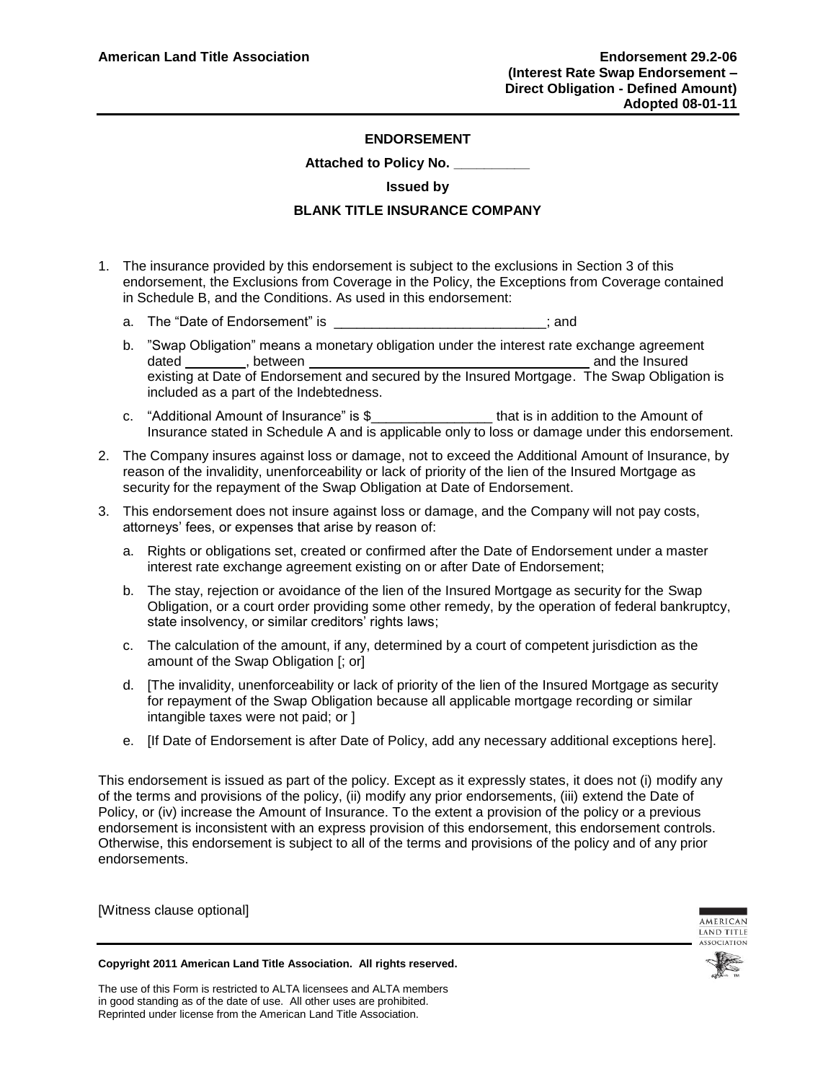### **ENDORSEMENT**

#### **Attached to Policy No. \_\_\_\_\_\_\_\_\_\_**

#### **Issued by**

## **BLANK TITLE INSURANCE COMPANY**

- 1. The insurance provided by this endorsement is subject to the exclusions in Section 3 of this endorsement, the Exclusions from Coverage in the Policy, the Exceptions from Coverage contained in Schedule B, and the Conditions. As used in this endorsement:
	- a. The "Date of Endorsement" is \_\_\_\_\_\_\_\_\_\_\_\_\_\_\_\_\_\_\_\_\_\_\_\_\_\_\_\_; and
	- b. "Swap Obligation" means a monetary obligation under the interest rate exchange agreement dated , between and the Insured existing at Date of Endorsement and secured by the Insured Mortgage. The Swap Obligation is included as a part of the Indebtedness.
	- c. "Additional Amount of Insurance" is \$\_\_\_\_\_\_\_\_\_\_\_\_\_\_\_\_ that is in addition to the Amount of Insurance stated in Schedule A and is applicable only to loss or damage under this endorsement.
- 2. The Company insures against loss or damage, not to exceed the Additional Amount of Insurance, by reason of the invalidity, unenforceability or lack of priority of the lien of the Insured Mortgage as security for the repayment of the Swap Obligation at Date of Endorsement.
- 3. This endorsement does not insure against loss or damage, and the Company will not pay costs, attorneys' fees, or expenses that arise by reason of:
	- a. Rights or obligations set, created or confirmed after the Date of Endorsement under a master interest rate exchange agreement existing on or after Date of Endorsement;
	- b. The stay, rejection or avoidance of the lien of the Insured Mortgage as security for the Swap Obligation, or a court order providing some other remedy, by the operation of federal bankruptcy, state insolvency, or similar creditors' rights laws;
	- c. The calculation of the amount, if any, determined by a court of competent jurisdiction as the amount of the Swap Obligation [; or]
	- d. [The invalidity, unenforceability or lack of priority of the lien of the Insured Mortgage as security for repayment of the Swap Obligation because all applicable mortgage recording or similar intangible taxes were not paid; or ]
	- e. [If Date of Endorsement is after Date of Policy, add any necessary additional exceptions here].

This endorsement is issued as part of the policy. Except as it expressly states, it does not (i) modify any of the terms and provisions of the policy, (ii) modify any prior endorsements, (iii) extend the Date of Policy, or (iv) increase the Amount of Insurance. To the extent a provision of the policy or a previous endorsement is inconsistent with an express provision of this endorsement, this endorsement controls. Otherwise, this endorsement is subject to all of the terms and provisions of the policy and of any prior endorsements.

[Witness clause optional]



**Copyright 2011 American Land Title Association. All rights reserved.**

The use of this Form is restricted to ALTA licensees and ALTA members in good standing as of the date of use. All other uses are prohibited. Reprinted under license from the American Land Title Association.